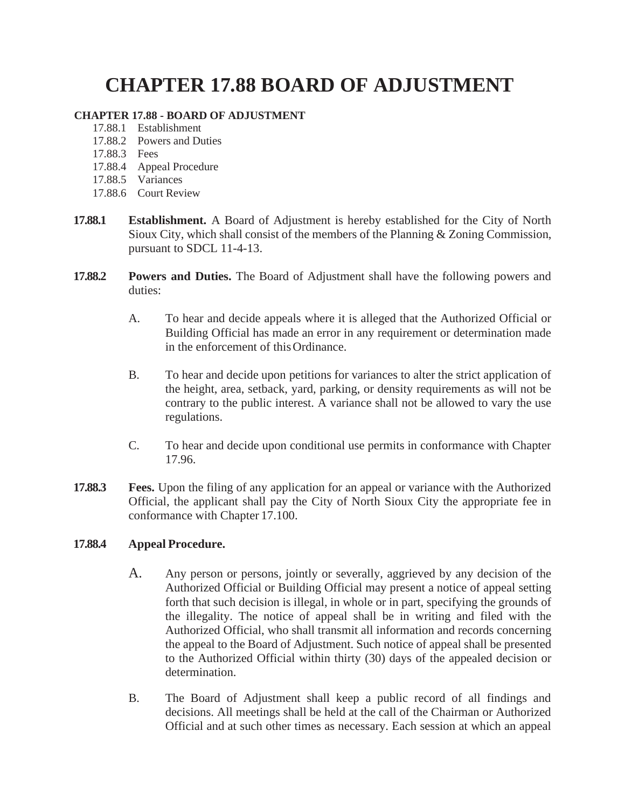## **CHAPTER 17.88 BOARD OF ADJUSTMENT**

## **CHAPTER 17.88 - BOARD OF ADJUSTMENT**

- 17.88.1 Establishment
- 17.88.2 Powers and Duties
- 17.88.3 Fees
- 17.88.4 Appeal Procedure
- 17.88.5 Variances
- 17.88.6 Court Review
- **17.88.1 Establishment.** A Board of Adjustment is hereby established for the City of North Sioux City, which shall consist of the members of the Planning & Zoning Commission, pursuant to SDCL 11-4-13.
- **17.88.2 Powers and Duties.** The Board of Adjustment shall have the following powers and duties:
	- A. To hear and decide appeals where it is alleged that the Authorized Official or Building Official has made an error in any requirement or determination made in the enforcement of thisOrdinance.
	- B. To hear and decide upon petitions for variances to alter the strict application of the height, area, setback, yard, parking, or density requirements as will not be contrary to the public interest. A variance shall not be allowed to vary the use regulations.
	- C. To hear and decide upon conditional use permits in conformance with Chapter 17.96.
- **17.88.3 Fees.** Upon the filing of any application for an appeal or variance with the Authorized Official, the applicant shall pay the City of North Sioux City the appropriate fee in conformance with Chapter 17.100.

## **17.88.4 Appeal Procedure.**

- A. Any person or persons, jointly or severally, aggrieved by any decision of the Authorized Official or Building Official may present a notice of appeal setting forth that such decision is illegal, in whole or in part, specifying the grounds of the illegality. The notice of appeal shall be in writing and filed with the Authorized Official, who shall transmit all information and records concerning the appeal to the Board of Adjustment. Such notice of appeal shall be presented to the Authorized Official within thirty (30) days of the appealed decision or determination.
- B. The Board of Adjustment shall keep a public record of all findings and decisions. All meetings shall be held at the call of the Chairman or Authorized Official and at such other times as necessary. Each session at which an appeal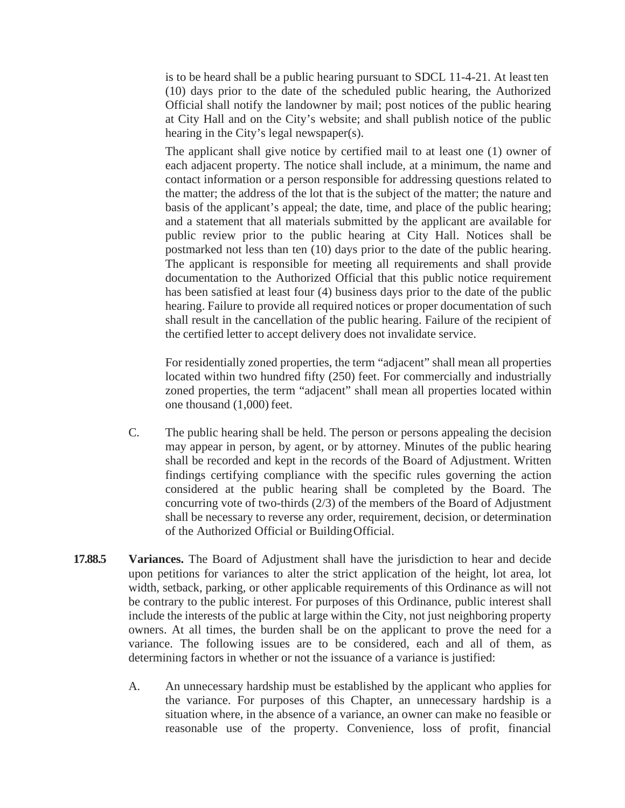is to be heard shall be a public hearing pursuant to SDCL 11-4-21. At least ten (10) days prior to the date of the scheduled public hearing, the Authorized Official shall notify the landowner by mail; post notices of the public hearing at City Hall and on the City's website; and shall publish notice of the public hearing in the City's legal newspaper(s).

The applicant shall give notice by certified mail to at least one (1) owner of each adjacent property. The notice shall include, at a minimum, the name and contact information or a person responsible for addressing questions related to the matter; the address of the lot that is the subject of the matter; the nature and basis of the applicant's appeal; the date, time, and place of the public hearing; and a statement that all materials submitted by the applicant are available for public review prior to the public hearing at City Hall. Notices shall be postmarked not less than ten (10) days prior to the date of the public hearing. The applicant is responsible for meeting all requirements and shall provide documentation to the Authorized Official that this public notice requirement has been satisfied at least four (4) business days prior to the date of the public hearing. Failure to provide all required notices or proper documentation of such shall result in the cancellation of the public hearing. Failure of the recipient of the certified letter to accept delivery does not invalidate service.

For residentially zoned properties, the term "adjacent" shall mean all properties located within two hundred fifty (250) feet. For commercially and industrially zoned properties, the term "adjacent" shall mean all properties located within one thousand (1,000) feet.

- C. The public hearing shall be held. The person or persons appealing the decision may appear in person, by agent, or by attorney. Minutes of the public hearing shall be recorded and kept in the records of the Board of Adjustment. Written findings certifying compliance with the specific rules governing the action considered at the public hearing shall be completed by the Board. The concurring vote of two-thirds (2/3) of the members of the Board of Adjustment shall be necessary to reverse any order, requirement, decision, or determination of the Authorized Official or BuildingOfficial.
- **17.88.5 Variances.** The Board of Adjustment shall have the jurisdiction to hear and decide upon petitions for variances to alter the strict application of the height, lot area, lot width, setback, parking, or other applicable requirements of this Ordinance as will not be contrary to the public interest. For purposes of this Ordinance, public interest shall include the interests of the public at large within the City, not just neighboring property owners. At all times, the burden shall be on the applicant to prove the need for a variance. The following issues are to be considered, each and all of them, as determining factors in whether or not the issuance of a variance is justified:
	- A. An unnecessary hardship must be established by the applicant who applies for the variance. For purposes of this Chapter, an unnecessary hardship is a situation where, in the absence of a variance, an owner can make no feasible or reasonable use of the property. Convenience, loss of profit, financial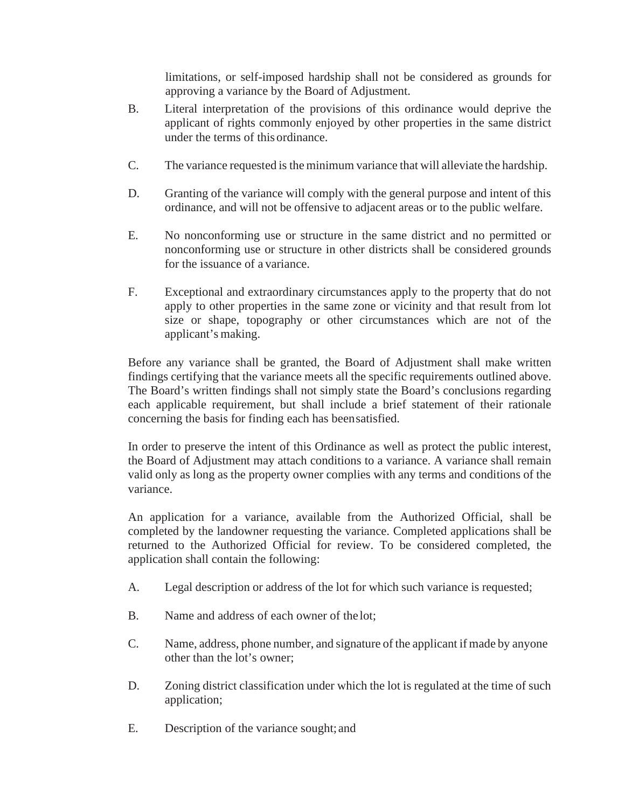limitations, or self-imposed hardship shall not be considered as grounds for approving a variance by the Board of Adjustment.

- B. Literal interpretation of the provisions of this ordinance would deprive the applicant of rights commonly enjoyed by other properties in the same district under the terms of this ordinance.
- C. The variance requested is the minimum variance that will alleviate the hardship.
- D. Granting of the variance will comply with the general purpose and intent of this ordinance, and will not be offensive to adjacent areas or to the public welfare.
- E. No nonconforming use or structure in the same district and no permitted or nonconforming use or structure in other districts shall be considered grounds for the issuance of a variance.
- F. Exceptional and extraordinary circumstances apply to the property that do not apply to other properties in the same zone or vicinity and that result from lot size or shape, topography or other circumstances which are not of the applicant's making.

Before any variance shall be granted, the Board of Adjustment shall make written findings certifying that the variance meets all the specific requirements outlined above. The Board's written findings shall not simply state the Board's conclusions regarding each applicable requirement, but shall include a brief statement of their rationale concerning the basis for finding each has beensatisfied.

In order to preserve the intent of this Ordinance as well as protect the public interest, the Board of Adjustment may attach conditions to a variance. A variance shall remain valid only as long as the property owner complies with any terms and conditions of the variance.

An application for a variance, available from the Authorized Official, shall be completed by the landowner requesting the variance. Completed applications shall be returned to the Authorized Official for review. To be considered completed, the application shall contain the following:

- A. Legal description or address of the lot for which such variance is requested;
- B. Name and address of each owner of the lot;
- C. Name, address, phone number, and signature of the applicant if made by anyone other than the lot's owner;
- D. Zoning district classification under which the lot is regulated at the time of such application;
- E. Description of the variance sought; and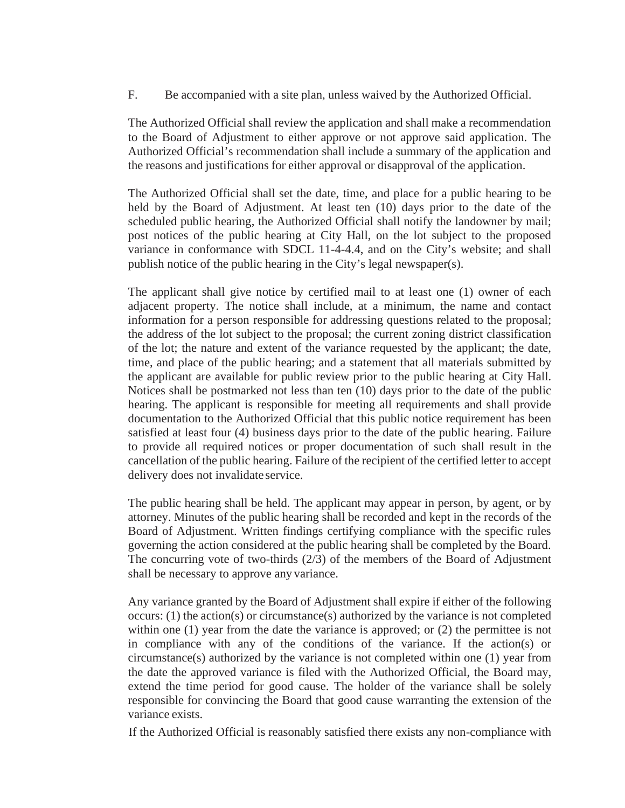F. Be accompanied with a site plan, unless waived by the Authorized Official.

The Authorized Official shall review the application and shall make a recommendation to the Board of Adjustment to either approve or not approve said application. The Authorized Official's recommendation shall include a summary of the application and the reasons and justifications for either approval or disapproval of the application.

The Authorized Official shall set the date, time, and place for a public hearing to be held by the Board of Adjustment. At least ten (10) days prior to the date of the scheduled public hearing, the Authorized Official shall notify the landowner by mail; post notices of the public hearing at City Hall, on the lot subject to the proposed variance in conformance with SDCL 11-4-4.4, and on the City's website; and shall publish notice of the public hearing in the City's legal newspaper(s).

The applicant shall give notice by certified mail to at least one (1) owner of each adjacent property. The notice shall include, at a minimum, the name and contact information for a person responsible for addressing questions related to the proposal; the address of the lot subject to the proposal; the current zoning district classification of the lot; the nature and extent of the variance requested by the applicant; the date, time, and place of the public hearing; and a statement that all materials submitted by the applicant are available for public review prior to the public hearing at City Hall. Notices shall be postmarked not less than ten (10) days prior to the date of the public hearing. The applicant is responsible for meeting all requirements and shall provide documentation to the Authorized Official that this public notice requirement has been satisfied at least four (4) business days prior to the date of the public hearing. Failure to provide all required notices or proper documentation of such shall result in the cancellation of the public hearing. Failure of the recipient of the certified letter to accept delivery does not invalidate service.

The public hearing shall be held. The applicant may appear in person, by agent, or by attorney. Minutes of the public hearing shall be recorded and kept in the records of the Board of Adjustment. Written findings certifying compliance with the specific rules governing the action considered at the public hearing shall be completed by the Board. The concurring vote of two-thirds (2/3) of the members of the Board of Adjustment shall be necessary to approve any variance.

Any variance granted by the Board of Adjustment shall expire if either of the following occurs: (1) the action(s) or circumstance(s) authorized by the variance is not completed within one (1) year from the date the variance is approved; or (2) the permittee is not in compliance with any of the conditions of the variance. If the action(s) or circumstance(s) authorized by the variance is not completed within one (1) year from the date the approved variance is filed with the Authorized Official, the Board may, extend the time period for good cause. The holder of the variance shall be solely responsible for convincing the Board that good cause warranting the extension of the variance exists.

If the Authorized Official is reasonably satisfied there exists any non-compliance with